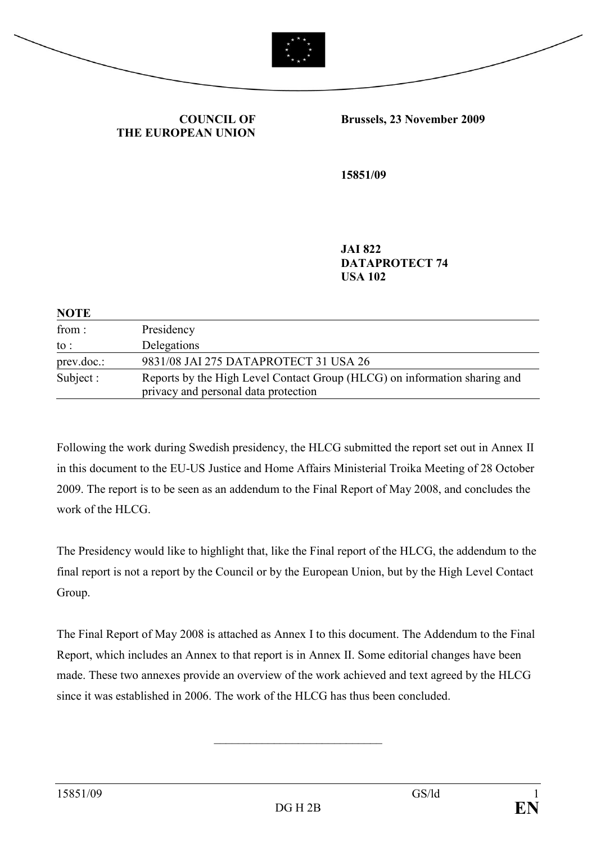



COUNCIL OF THE EUROPEAN UNION Brussels, 23 November 2009

15851/09

JAI 822 DATAPROTECT 74 USA 102

| <b>NOTE</b>     |                                                                                                                   |
|-----------------|-------------------------------------------------------------------------------------------------------------------|
| from:           | Presidency                                                                                                        |
| $\mathrm{to}$ : | Delegations                                                                                                       |
| prev.doc.       | 9831/08 JAI 275 DATAPROTECT 31 USA 26                                                                             |
| Subject :       | Reports by the High Level Contact Group (HLCG) on information sharing and<br>privacy and personal data protection |

Following the work during Swedish presidency, the HLCG submitted the report set out in Annex II in this document to the EU-US Justice and Home Affairs Ministerial Troika Meeting of 28 October 2009. The report is to be seen as an addendum to the Final Report of May 2008, and concludes the work of the HLCG.

The Presidency would like to highlight that, like the Final report of the HLCG, the addendum to the final report is not a report by the Council or by the European Union, but by the High Level Contact Group.

The Final Report of May 2008 is attached as Annex I to this document. The Addendum to the Final Report, which includes an Annex to that report is in Annex II. Some editorial changes have been made. These two annexes provide an overview of the work achieved and text agreed by the HLCG since it was established in 2006. The work of the HLCG has thus been concluded.

\_\_\_\_\_\_\_\_\_\_\_\_\_\_\_\_\_\_\_\_\_\_\_\_\_\_\_\_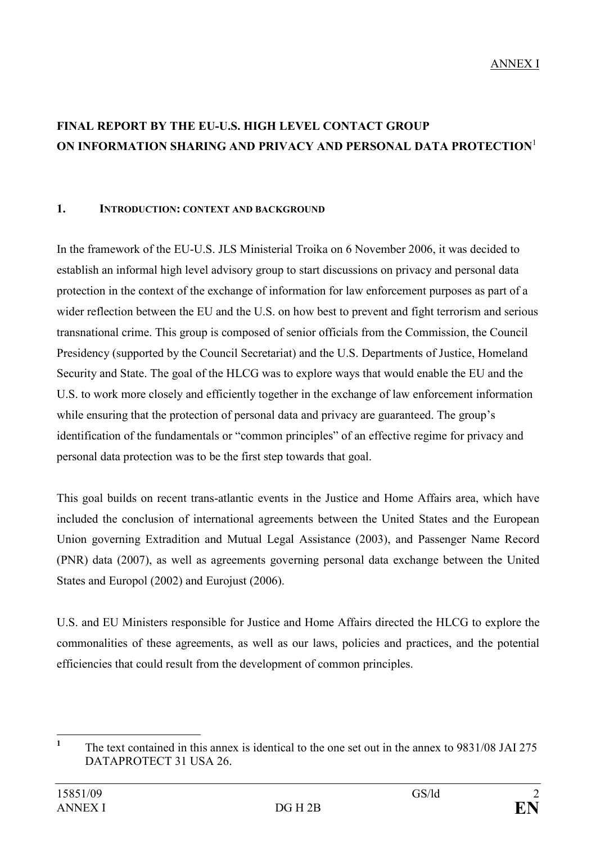# FINAL REPORT BY THE EU-U.S. HIGH LEVEL CONTACT GROUP ON INFORMATION SHARING AND PRIVACY AND PERSONAL DATA PROTECTION<sup>1</sup>

#### 1. INTRODUCTION: CONTEXT AND BACKGROUND

In the framework of the EU-U.S. JLS Ministerial Troika on 6 November 2006, it was decided to establish an informal high level advisory group to start discussions on privacy and personal data protection in the context of the exchange of information for law enforcement purposes as part of a wider reflection between the EU and the U.S. on how best to prevent and fight terrorism and serious transnational crime. This group is composed of senior officials from the Commission, the Council Presidency (supported by the Council Secretariat) and the U.S. Departments of Justice, Homeland Security and State. The goal of the HLCG was to explore ways that would enable the EU and the U.S. to work more closely and efficiently together in the exchange of law enforcement information while ensuring that the protection of personal data and privacy are guaranteed. The group's identification of the fundamentals or "common principles" of an effective regime for privacy and personal data protection was to be the first step towards that goal.

This goal builds on recent trans-atlantic events in the Justice and Home Affairs area, which have included the conclusion of international agreements between the United States and the European Union governing Extradition and Mutual Legal Assistance (2003), and Passenger Name Record (PNR) data (2007), as well as agreements governing personal data exchange between the United States and Europol (2002) and Eurojust (2006).

U.S. and EU Ministers responsible for Justice and Home Affairs directed the HLCG to explore the commonalities of these agreements, as well as our laws, policies and practices, and the potential efficiencies that could result from the development of common principles.

 $\frac{1}{1}$  The text contained in this annex is identical to the one set out in the annex to 9831/08 JAI 275 DATAPROTECT 31 USA 26.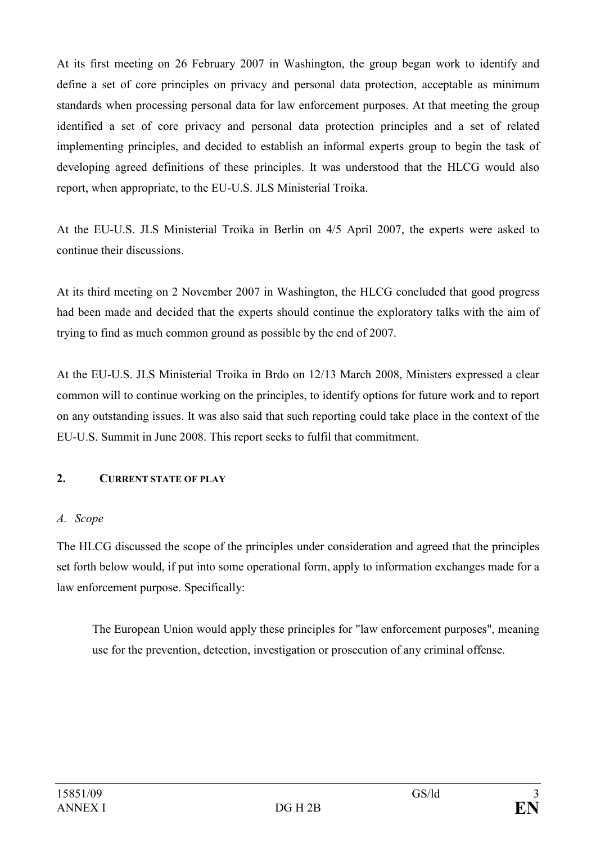At its first meeting on 26 February 2007 in Washington, the group began work to identify and define a set of core principles on privacy and personal data protection, acceptable as minimum standards when processing personal data for law enforcement purposes. At that meeting the group identified a set of core privacy and personal data protection principles and a set of related implementing principles, and decided to establish an informal experts group to begin the task of developing agreed definitions of these principles. It was understood that the HLCG would also report, when appropriate, to the EU-U.S. JLS Ministerial Troika.

At the EU-U.S. JLS Ministerial Troika in Berlin on 4/5 April 2007, the experts were asked to continue their discussions.

At its third meeting on 2 November 2007 in Washington, the HLCG concluded that good progress had been made and decided that the experts should continue the exploratory talks with the aim of trying to find as much common ground as possible by the end of 2007.

At the EU-U.S. JLS Ministerial Troika in Brdo on 12/13 March 2008, Ministers expressed a clear common will to continue working on the principles, to identify options for future work and to report on any outstanding issues. It was also said that such reporting could take place in the context of the EU-U.S. Summit in June 2008. This report seeks to fulfil that commitment.

## 2. CURRENT STATE OF PLAY

#### A. Scope

The HLCG discussed the scope of the principles under consideration and agreed that the principles set forth below would, if put into some operational form, apply to information exchanges made for a law enforcement purpose. Specifically:

The European Union would apply these principles for "law enforcement purposes", meaning use for the prevention, detection, investigation or prosecution of any criminal offense.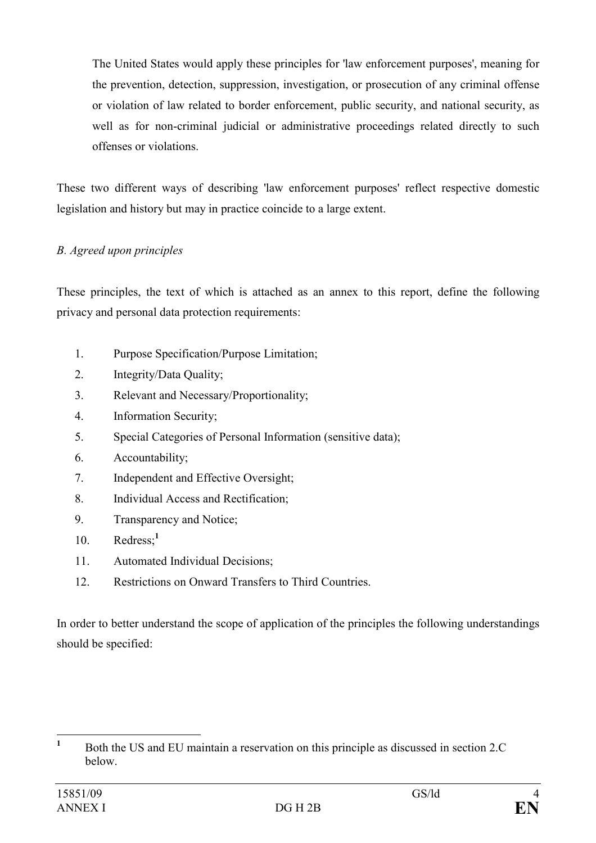The United States would apply these principles for 'law enforcement purposes', meaning for the prevention, detection, suppression, investigation, or prosecution of any criminal offense or violation of law related to border enforcement, public security, and national security, as well as for non-criminal judicial or administrative proceedings related directly to such offenses or violations.

These two different ways of describing 'law enforcement purposes' reflect respective domestic legislation and history but may in practice coincide to a large extent.

### B. Agreed upon principles

These principles, the text of which is attached as an annex to this report, define the following privacy and personal data protection requirements:

- 1. Purpose Specification/Purpose Limitation;
- 2. Integrity/Data Quality;
- 3. Relevant and Necessary/Proportionality;
- 4. Information Security;
- 5. Special Categories of Personal Information (sensitive data);
- 6. Accountability;
- 7. Independent and Effective Oversight;
- 8. Individual Access and Rectification;
- 9. Transparency and Notice;
- 10. Redress;<sup>1</sup>
- 11. Automated Individual Decisions;
- 12. Restrictions on Onward Transfers to Third Countries.

In order to better understand the scope of application of the principles the following understandings should be specified:

 $\frac{1}{1}$  Both the US and EU maintain a reservation on this principle as discussed in section 2.C below.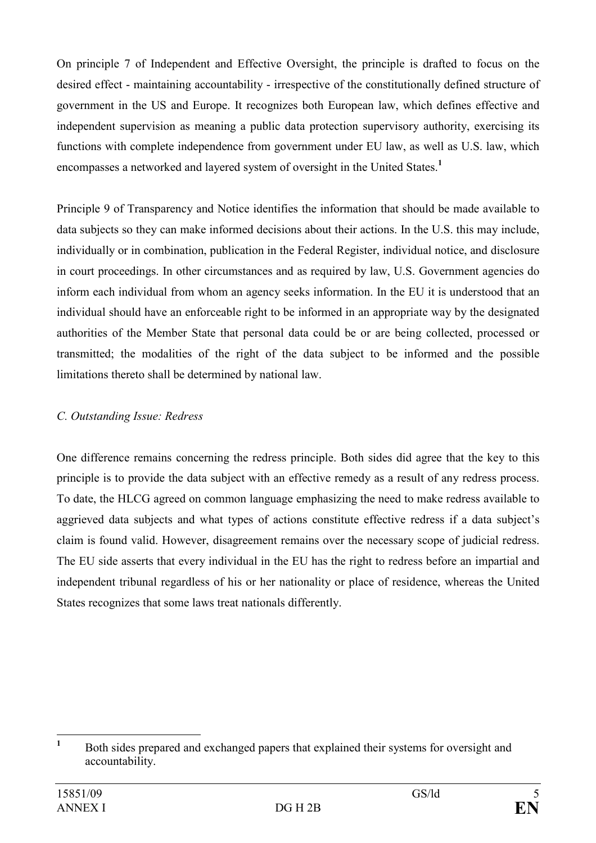On principle 7 of Independent and Effective Oversight, the principle is drafted to focus on the desired effect - maintaining accountability - irrespective of the constitutionally defined structure of government in the US and Europe. It recognizes both European law, which defines effective and independent supervision as meaning a public data protection supervisory authority, exercising its functions with complete independence from government under EU law, as well as U.S. law, which encompasses a networked and layered system of oversight in the United States.<sup>1</sup>

Principle 9 of Transparency and Notice identifies the information that should be made available to data subjects so they can make informed decisions about their actions. In the U.S. this may include, individually or in combination, publication in the Federal Register, individual notice, and disclosure in court proceedings. In other circumstances and as required by law, U.S. Government agencies do inform each individual from whom an agency seeks information. In the EU it is understood that an individual should have an enforceable right to be informed in an appropriate way by the designated authorities of the Member State that personal data could be or are being collected, processed or transmitted; the modalities of the right of the data subject to be informed and the possible limitations thereto shall be determined by national law.

## C. Outstanding Issue: Redress

One difference remains concerning the redress principle. Both sides did agree that the key to this principle is to provide the data subject with an effective remedy as a result of any redress process. To date, the HLCG agreed on common language emphasizing the need to make redress available to aggrieved data subjects and what types of actions constitute effective redress if a data subject's claim is found valid. However, disagreement remains over the necessary scope of judicial redress. The EU side asserts that every individual in the EU has the right to redress before an impartial and independent tribunal regardless of his or her nationality or place of residence, whereas the United States recognizes that some laws treat nationals differently.

 $\frac{1}{1}$  Both sides prepared and exchanged papers that explained their systems for oversight and accountability.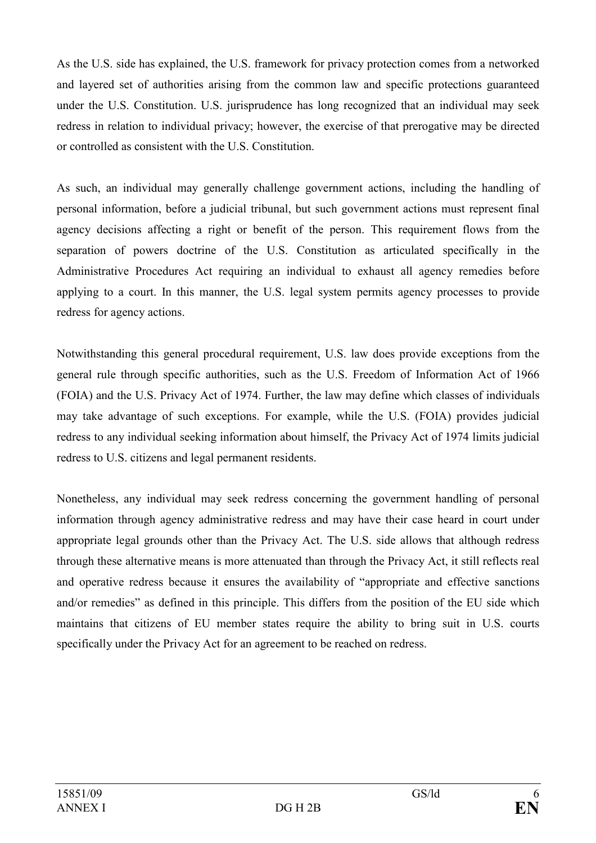As the U.S. side has explained, the U.S. framework for privacy protection comes from a networked and layered set of authorities arising from the common law and specific protections guaranteed under the U.S. Constitution. U.S. jurisprudence has long recognized that an individual may seek redress in relation to individual privacy; however, the exercise of that prerogative may be directed or controlled as consistent with the U.S. Constitution.

As such, an individual may generally challenge government actions, including the handling of personal information, before a judicial tribunal, but such government actions must represent final agency decisions affecting a right or benefit of the person. This requirement flows from the separation of powers doctrine of the U.S. Constitution as articulated specifically in the Administrative Procedures Act requiring an individual to exhaust all agency remedies before applying to a court. In this manner, the U.S. legal system permits agency processes to provide redress for agency actions.

Notwithstanding this general procedural requirement, U.S. law does provide exceptions from the general rule through specific authorities, such as the U.S. Freedom of Information Act of 1966 (FOIA) and the U.S. Privacy Act of 1974. Further, the law may define which classes of individuals may take advantage of such exceptions. For example, while the U.S. (FOIA) provides judicial redress to any individual seeking information about himself, the Privacy Act of 1974 limits judicial redress to U.S. citizens and legal permanent residents.

Nonetheless, any individual may seek redress concerning the government handling of personal information through agency administrative redress and may have their case heard in court under appropriate legal grounds other than the Privacy Act. The U.S. side allows that although redress through these alternative means is more attenuated than through the Privacy Act, it still reflects real and operative redress because it ensures the availability of "appropriate and effective sanctions and/or remedies" as defined in this principle. This differs from the position of the EU side which maintains that citizens of EU member states require the ability to bring suit in U.S. courts specifically under the Privacy Act for an agreement to be reached on redress.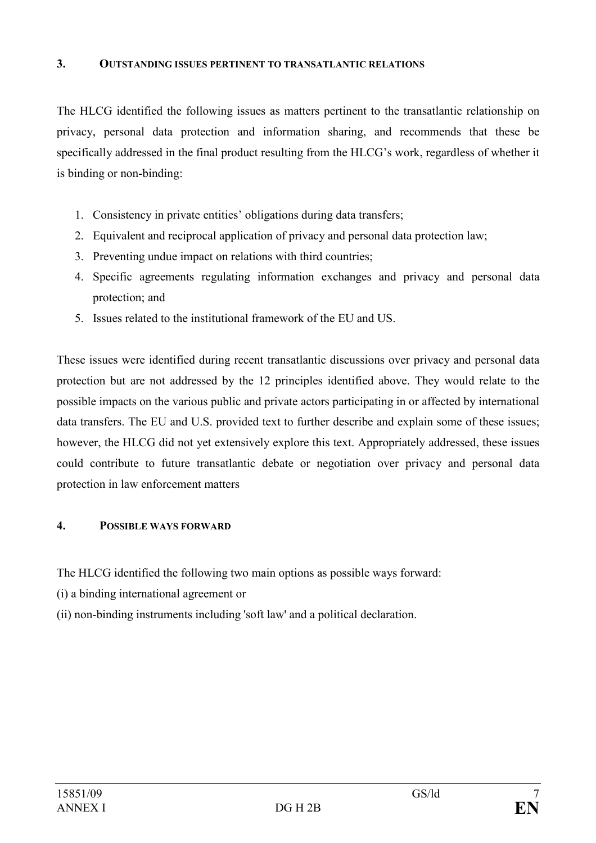#### 3. OUTSTANDING ISSUES PERTINENT TO TRANSATLANTIC RELATIONS

The HLCG identified the following issues as matters pertinent to the transatlantic relationship on privacy, personal data protection and information sharing, and recommends that these be specifically addressed in the final product resulting from the HLCG's work, regardless of whether it is binding or non-binding:

- 1. Consistency in private entities' obligations during data transfers;
- 2. Equivalent and reciprocal application of privacy and personal data protection law;
- 3. Preventing undue impact on relations with third countries;
- 4. Specific agreements regulating information exchanges and privacy and personal data protection; and
- 5. Issues related to the institutional framework of the EU and US.

These issues were identified during recent transatlantic discussions over privacy and personal data protection but are not addressed by the 12 principles identified above. They would relate to the possible impacts on the various public and private actors participating in or affected by international data transfers. The EU and U.S. provided text to further describe and explain some of these issues; however, the HLCG did not yet extensively explore this text. Appropriately addressed, these issues could contribute to future transatlantic debate or negotiation over privacy and personal data protection in law enforcement matters

#### 4. POSSIBLE WAYS FORWARD

The HLCG identified the following two main options as possible ways forward:

- (i) a binding international agreement or
- (ii) non-binding instruments including 'soft law' and a political declaration.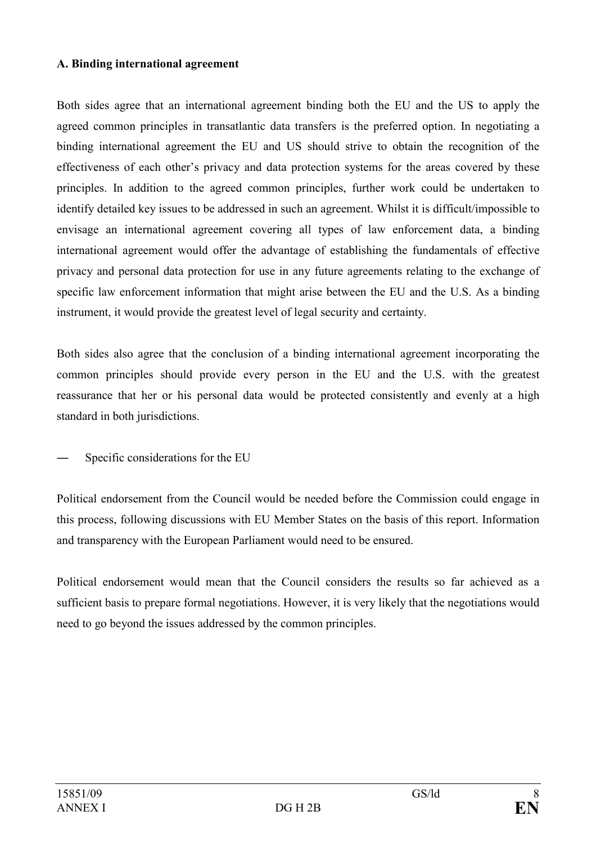#### A. Binding international agreement

Both sides agree that an international agreement binding both the EU and the US to apply the agreed common principles in transatlantic data transfers is the preferred option. In negotiating a binding international agreement the EU and US should strive to obtain the recognition of the effectiveness of each other's privacy and data protection systems for the areas covered by these principles. In addition to the agreed common principles, further work could be undertaken to identify detailed key issues to be addressed in such an agreement. Whilst it is difficult/impossible to envisage an international agreement covering all types of law enforcement data, a binding international agreement would offer the advantage of establishing the fundamentals of effective privacy and personal data protection for use in any future agreements relating to the exchange of specific law enforcement information that might arise between the EU and the U.S. As a binding instrument, it would provide the greatest level of legal security and certainty.

Both sides also agree that the conclusion of a binding international agreement incorporating the common principles should provide every person in the EU and the U.S. with the greatest reassurance that her or his personal data would be protected consistently and evenly at a high standard in both jurisdictions.

Specific considerations for the EU

Political endorsement from the Council would be needed before the Commission could engage in this process, following discussions with EU Member States on the basis of this report. Information and transparency with the European Parliament would need to be ensured.

Political endorsement would mean that the Council considers the results so far achieved as a sufficient basis to prepare formal negotiations. However, it is very likely that the negotiations would need to go beyond the issues addressed by the common principles.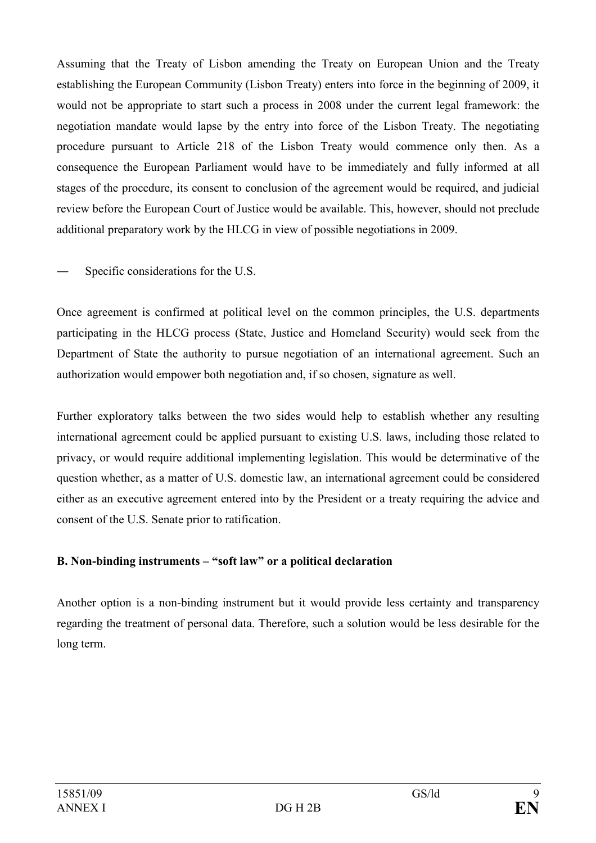Assuming that the Treaty of Lisbon amending the Treaty on European Union and the Treaty establishing the European Community (Lisbon Treaty) enters into force in the beginning of 2009, it would not be appropriate to start such a process in 2008 under the current legal framework: the negotiation mandate would lapse by the entry into force of the Lisbon Treaty. The negotiating procedure pursuant to Article 218 of the Lisbon Treaty would commence only then. As a consequence the European Parliament would have to be immediately and fully informed at all stages of the procedure, its consent to conclusion of the agreement would be required, and judicial review before the European Court of Justice would be available. This, however, should not preclude additional preparatory work by the HLCG in view of possible negotiations in 2009.

Specific considerations for the U.S.

Once agreement is confirmed at political level on the common principles, the U.S. departments participating in the HLCG process (State, Justice and Homeland Security) would seek from the Department of State the authority to pursue negotiation of an international agreement. Such an authorization would empower both negotiation and, if so chosen, signature as well.

Further exploratory talks between the two sides would help to establish whether any resulting international agreement could be applied pursuant to existing U.S. laws, including those related to privacy, or would require additional implementing legislation. This would be determinative of the question whether, as a matter of U.S. domestic law, an international agreement could be considered either as an executive agreement entered into by the President or a treaty requiring the advice and consent of the U.S. Senate prior to ratification.

## B. Non-binding instruments – "soft law" or a political declaration

Another option is a non-binding instrument but it would provide less certainty and transparency regarding the treatment of personal data. Therefore, such a solution would be less desirable for the long term.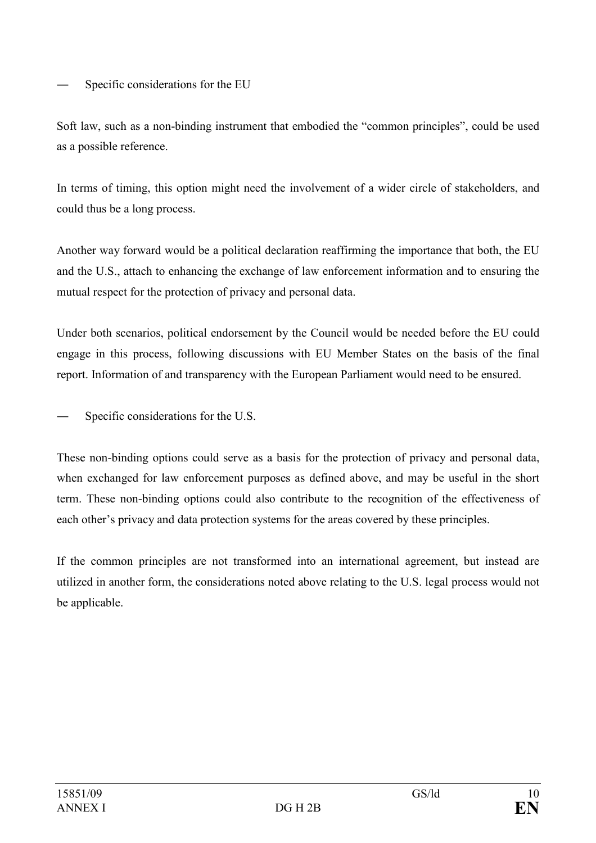Specific considerations for the EU

Soft law, such as a non-binding instrument that embodied the "common principles", could be used as a possible reference.

In terms of timing, this option might need the involvement of a wider circle of stakeholders, and could thus be a long process.

Another way forward would be a political declaration reaffirming the importance that both, the EU and the U.S., attach to enhancing the exchange of law enforcement information and to ensuring the mutual respect for the protection of privacy and personal data.

Under both scenarios, political endorsement by the Council would be needed before the EU could engage in this process, following discussions with EU Member States on the basis of the final report. Information of and transparency with the European Parliament would need to be ensured.

Specific considerations for the U.S.

These non-binding options could serve as a basis for the protection of privacy and personal data, when exchanged for law enforcement purposes as defined above, and may be useful in the short term. These non-binding options could also contribute to the recognition of the effectiveness of each other's privacy and data protection systems for the areas covered by these principles.

If the common principles are not transformed into an international agreement, but instead are utilized in another form, the considerations noted above relating to the U.S. legal process would not be applicable.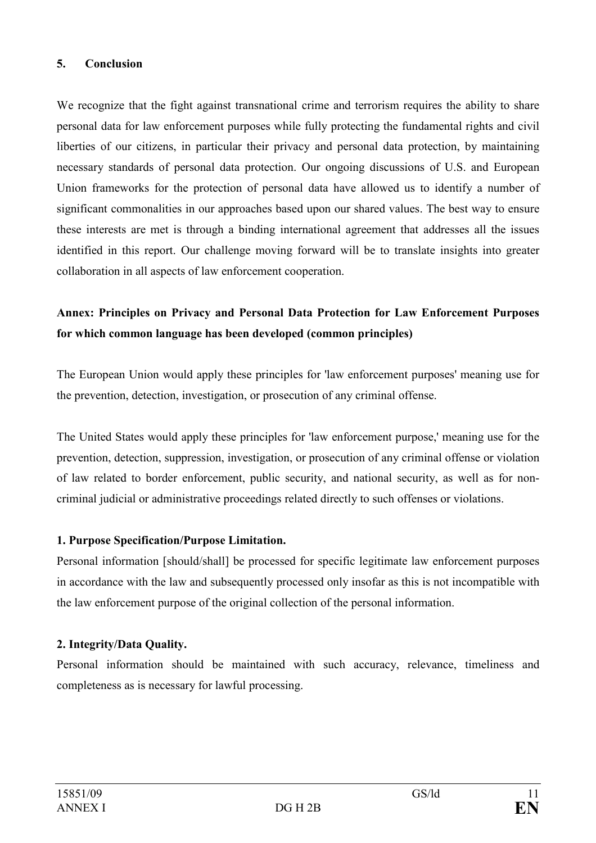#### 5. Conclusion

We recognize that the fight against transnational crime and terrorism requires the ability to share personal data for law enforcement purposes while fully protecting the fundamental rights and civil liberties of our citizens, in particular their privacy and personal data protection, by maintaining necessary standards of personal data protection. Our ongoing discussions of U.S. and European Union frameworks for the protection of personal data have allowed us to identify a number of significant commonalities in our approaches based upon our shared values. The best way to ensure these interests are met is through a binding international agreement that addresses all the issues identified in this report. Our challenge moving forward will be to translate insights into greater collaboration in all aspects of law enforcement cooperation.

## Annex: Principles on Privacy and Personal Data Protection for Law Enforcement Purposes for which common language has been developed (common principles)

The European Union would apply these principles for 'law enforcement purposes' meaning use for the prevention, detection, investigation, or prosecution of any criminal offense.

The United States would apply these principles for 'law enforcement purpose,' meaning use for the prevention, detection, suppression, investigation, or prosecution of any criminal offense or violation of law related to border enforcement, public security, and national security, as well as for noncriminal judicial or administrative proceedings related directly to such offenses or violations.

#### 1. Purpose Specification/Purpose Limitation.

Personal information [should/shall] be processed for specific legitimate law enforcement purposes in accordance with the law and subsequently processed only insofar as this is not incompatible with the law enforcement purpose of the original collection of the personal information.

#### 2. Integrity/Data Quality.

Personal information should be maintained with such accuracy, relevance, timeliness and completeness as is necessary for lawful processing.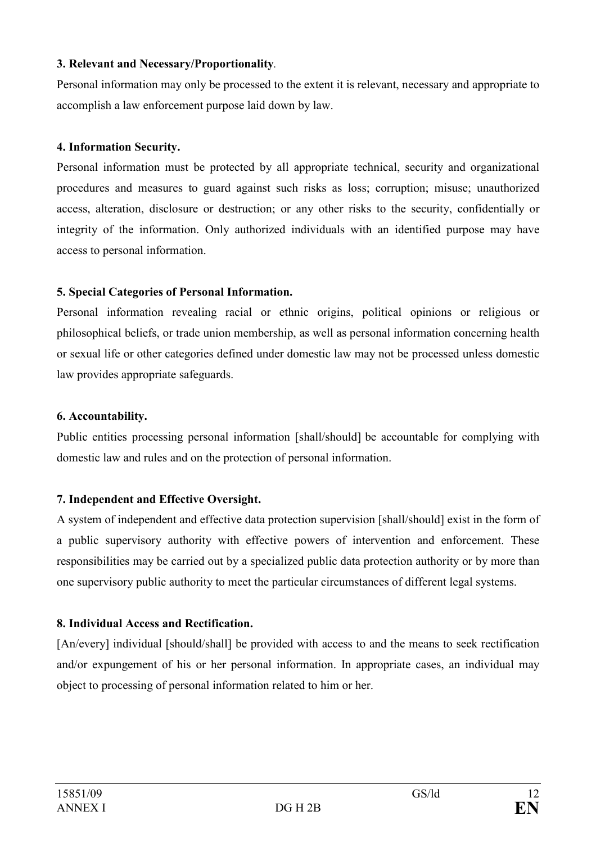#### 3. Relevant and Necessary/Proportionality.

Personal information may only be processed to the extent it is relevant, necessary and appropriate to accomplish a law enforcement purpose laid down by law.

#### 4. Information Security.

Personal information must be protected by all appropriate technical, security and organizational procedures and measures to guard against such risks as loss; corruption; misuse; unauthorized access, alteration, disclosure or destruction; or any other risks to the security, confidentially or integrity of the information. Only authorized individuals with an identified purpose may have access to personal information.

#### 5. Special Categories of Personal Information.

Personal information revealing racial or ethnic origins, political opinions or religious or philosophical beliefs, or trade union membership, as well as personal information concerning health or sexual life or other categories defined under domestic law may not be processed unless domestic law provides appropriate safeguards.

#### 6. Accountability.

Public entities processing personal information [shall/should] be accountable for complying with domestic law and rules and on the protection of personal information.

#### 7. Independent and Effective Oversight.

A system of independent and effective data protection supervision [shall/should] exist in the form of a public supervisory authority with effective powers of intervention and enforcement. These responsibilities may be carried out by a specialized public data protection authority or by more than one supervisory public authority to meet the particular circumstances of different legal systems.

#### 8. Individual Access and Rectification.

[An/every] individual [should/shall] be provided with access to and the means to seek rectification and/or expungement of his or her personal information. In appropriate cases, an individual may object to processing of personal information related to him or her.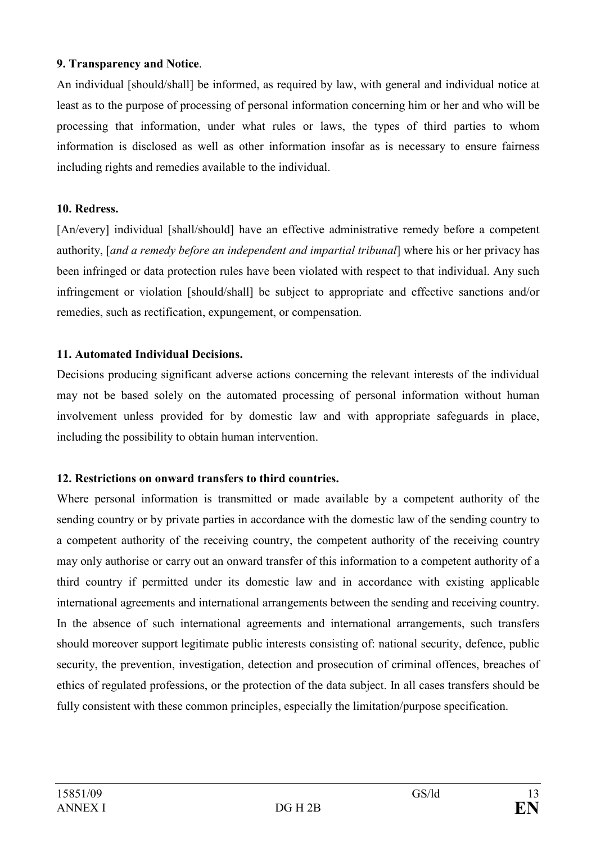### 9. Transparency and Notice.

An individual [should/shall] be informed, as required by law, with general and individual notice at least as to the purpose of processing of personal information concerning him or her and who will be processing that information, under what rules or laws, the types of third parties to whom information is disclosed as well as other information insofar as is necessary to ensure fairness including rights and remedies available to the individual.

### 10. Redress.

[An/every] individual [shall/should] have an effective administrative remedy before a competent authority, [and a remedy before an independent and impartial tribunal] where his or her privacy has been infringed or data protection rules have been violated with respect to that individual. Any such infringement or violation [should/shall] be subject to appropriate and effective sanctions and/or remedies, such as rectification, expungement, or compensation.

## 11. Automated Individual Decisions.

Decisions producing significant adverse actions concerning the relevant interests of the individual may not be based solely on the automated processing of personal information without human involvement unless provided for by domestic law and with appropriate safeguards in place, including the possibility to obtain human intervention.

## 12. Restrictions on onward transfers to third countries.

Where personal information is transmitted or made available by a competent authority of the sending country or by private parties in accordance with the domestic law of the sending country to a competent authority of the receiving country, the competent authority of the receiving country may only authorise or carry out an onward transfer of this information to a competent authority of a third country if permitted under its domestic law and in accordance with existing applicable international agreements and international arrangements between the sending and receiving country. In the absence of such international agreements and international arrangements, such transfers should moreover support legitimate public interests consisting of: national security, defence, public security, the prevention, investigation, detection and prosecution of criminal offences, breaches of ethics of regulated professions, or the protection of the data subject. In all cases transfers should be fully consistent with these common principles, especially the limitation/purpose specification.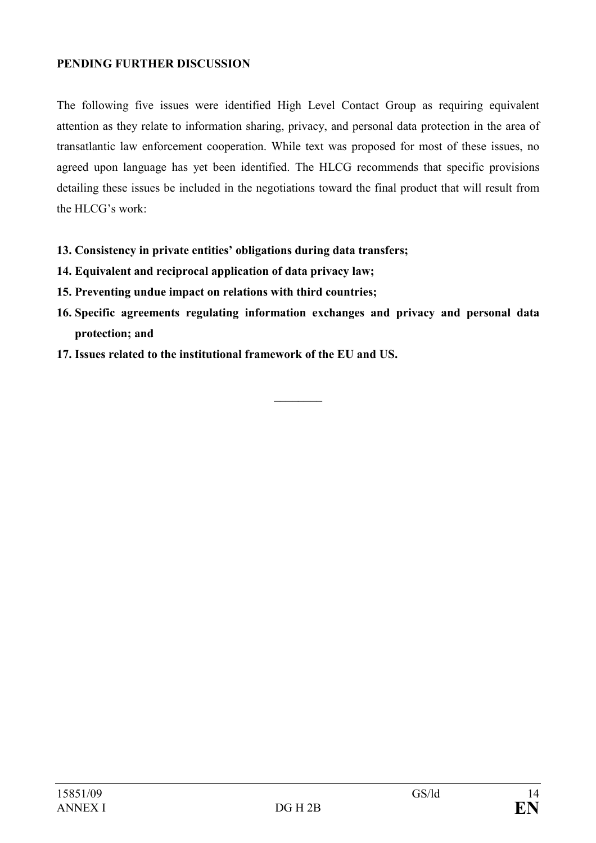#### PENDING FURTHER DISCUSSION

The following five issues were identified High Level Contact Group as requiring equivalent attention as they relate to information sharing, privacy, and personal data protection in the area of transatlantic law enforcement cooperation. While text was proposed for most of these issues, no agreed upon language has yet been identified. The HLCG recommends that specific provisions detailing these issues be included in the negotiations toward the final product that will result from the HLCG's work:

- 13. Consistency in private entities' obligations during data transfers;
- 14. Equivalent and reciprocal application of data privacy law;
- 15. Preventing undue impact on relations with third countries;
- 16. Specific agreements regulating information exchanges and privacy and personal data protection; and

 $\frac{1}{2}$ 

17. Issues related to the institutional framework of the EU and US.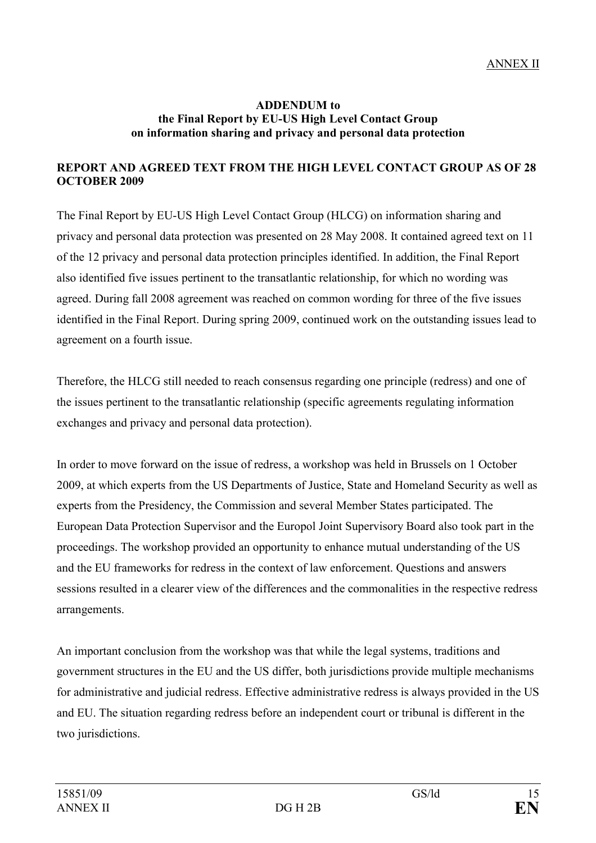#### ADDENDUM to the Final Report by EU-US High Level Contact Group on information sharing and privacy and personal data protection

## REPORT AND AGREED TEXT FROM THE HIGH LEVEL CONTACT GROUP AS OF 28 OCTOBER 2009

The Final Report by EU-US High Level Contact Group (HLCG) on information sharing and privacy and personal data protection was presented on 28 May 2008. It contained agreed text on 11 of the 12 privacy and personal data protection principles identified. In addition, the Final Report also identified five issues pertinent to the transatlantic relationship, for which no wording was agreed. During fall 2008 agreement was reached on common wording for three of the five issues identified in the Final Report. During spring 2009, continued work on the outstanding issues lead to agreement on a fourth issue.

Therefore, the HLCG still needed to reach consensus regarding one principle (redress) and one of the issues pertinent to the transatlantic relationship (specific agreements regulating information exchanges and privacy and personal data protection).

In order to move forward on the issue of redress, a workshop was held in Brussels on 1 October 2009, at which experts from the US Departments of Justice, State and Homeland Security as well as experts from the Presidency, the Commission and several Member States participated. The European Data Protection Supervisor and the Europol Joint Supervisory Board also took part in the proceedings. The workshop provided an opportunity to enhance mutual understanding of the US and the EU frameworks for redress in the context of law enforcement. Questions and answers sessions resulted in a clearer view of the differences and the commonalities in the respective redress arrangements.

An important conclusion from the workshop was that while the legal systems, traditions and government structures in the EU and the US differ, both jurisdictions provide multiple mechanisms for administrative and judicial redress. Effective administrative redress is always provided in the US and EU. The situation regarding redress before an independent court or tribunal is different in the two jurisdictions.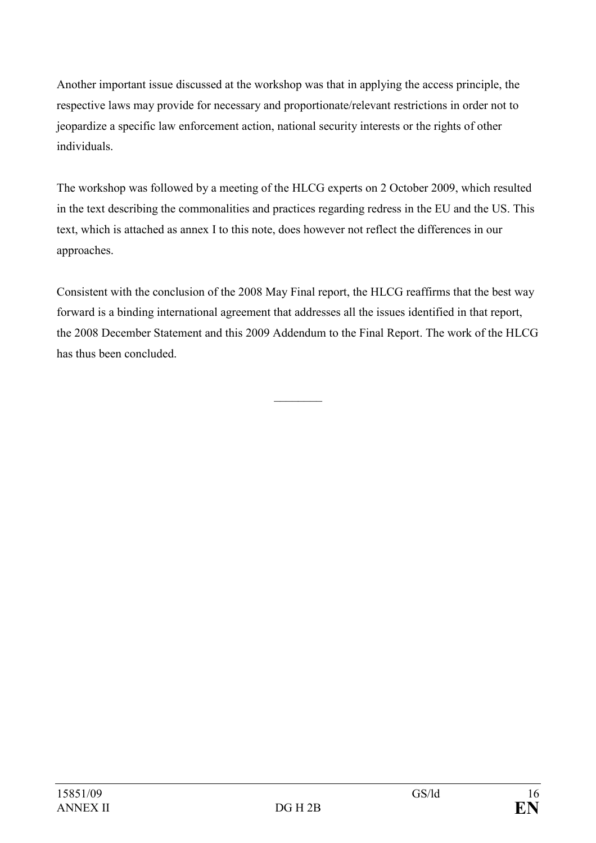Another important issue discussed at the workshop was that in applying the access principle, the respective laws may provide for necessary and proportionate/relevant restrictions in order not to jeopardize a specific law enforcement action, national security interests or the rights of other individuals.

The workshop was followed by a meeting of the HLCG experts on 2 October 2009, which resulted in the text describing the commonalities and practices regarding redress in the EU and the US. This text, which is attached as annex I to this note, does however not reflect the differences in our approaches.

Consistent with the conclusion of the 2008 May Final report, the HLCG reaffirms that the best way forward is a binding international agreement that addresses all the issues identified in that report, the 2008 December Statement and this 2009 Addendum to the Final Report. The work of the HLCG has thus been concluded.

 $\frac{1}{2}$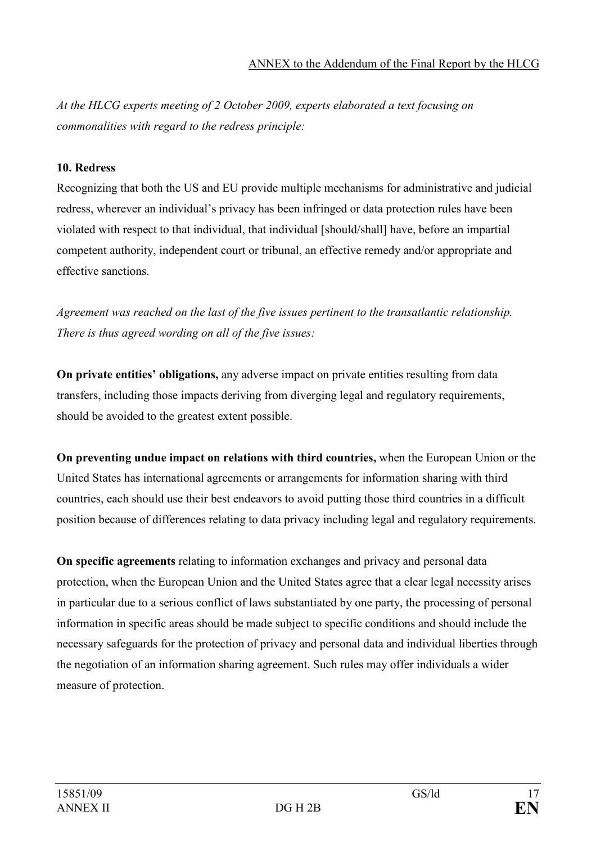At the HLCG experts meeting of 2 October 2009, experts elaborated a text focusing on commonalities with regard to the redress principle:

## 10. Redress

Recognizing that both the US and EU provide multiple mechanisms for administrative and judicial redress, wherever an individual's privacy has been infringed or data protection rules have been violated with respect to that individual, that individual [should/shall] have, before an impartial competent authority, independent court or tribunal, an effective remedy and/or appropriate and effective sanctions.

Agreement was reached on the last of the five issues pertinent to the transatlantic relationship. There is thus agreed wording on all of the five issues:

On private entities' obligations, any adverse impact on private entities resulting from data transfers, including those impacts deriving from diverging legal and regulatory requirements, should be avoided to the greatest extent possible.

On preventing undue impact on relations with third countries, when the European Union or the United States has international agreements or arrangements for information sharing with third countries, each should use their best endeavors to avoid putting those third countries in a difficult position because of differences relating to data privacy including legal and regulatory requirements.

On specific agreements relating to information exchanges and privacy and personal data protection, when the European Union and the United States agree that a clear legal necessity arises in particular due to a serious conflict of laws substantiated by one party, the processing of personal information in specific areas should be made subject to specific conditions and should include the necessary safeguards for the protection of privacy and personal data and individual liberties through the negotiation of an information sharing agreement. Such rules may offer individuals a wider measure of protection.